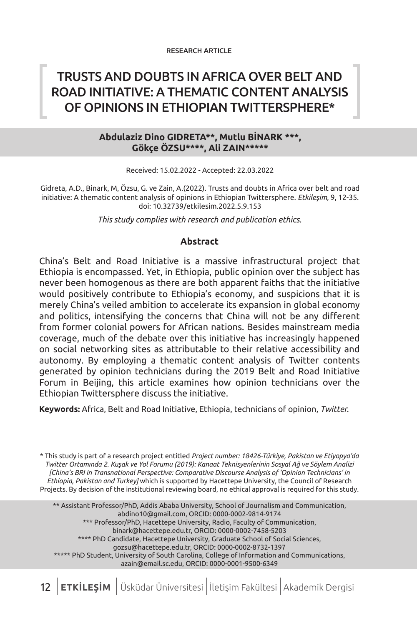## TRUSTS AND DOUBTS IN AFRICA OVER BELT AND ROAD INITIATIVE: A THEMATIC CONTENT ANALYSIS OF OPINIONS IN ETHIOPIAN TWITTERSPHERE\*

#### **Abdulaziz Dino GIDRETA\*\*, Mutlu BİNARK \*\*\*, Gökçe ÖZSU\*\*\*\*, Ali ZAIN\*\*\*\*\***

Received: 15.02.2022 - Accepted: 22.03.2022

Gidreta, A.D., Binark, M, Özsu, G. ve Zain, A.(2022). Trusts and doubts in Africa over belt and road initiative: A thematic content analysis of opinions in Ethiopian Twittersphere. *Etkileşim*, 9, 12-35. doi: 10.32739/etkilesim.2022.5.9.153

*This study complies with research and publication ethics.*

#### **Abstract**

China's Belt and Road Initiative is a massive infrastructural project that Ethiopia is encompassed. Yet, in Ethiopia, public opinion over the subject has never been homogenous as there are both apparent faiths that the initiative would positively contribute to Ethiopia's economy, and suspicions that it is merely China's veiled ambition to accelerate its expansion in global economy and politics, intensifying the concerns that China will not be any different from former colonial powers for African nations. Besides mainstream media coverage, much of the debate over this initiative has increasingly happened on social networking sites as attributable to their relative accessibility and autonomy. By employing a thematic content analysis of Twitter contents generated by opinion technicians during the 2019 Belt and Road Initiative Forum in Beijing, this article examines how opinion technicians over the Ethiopian Twittersphere discuss the initiative.

**Keywords:** Africa, Belt and Road Initiative, Ethiopia, technicians of opinion, *Twitter.*

\* This study is part of a research project entitled *Project number: 18426-Türkiye, Pakistan ve Etiyopya'da Twitter Ortamında 2. Kuşak ve Yol Forumu (2019): Kanaat Teknisyenlerinin Sosyal Ağ ve Söylem Analizi [China's BRI in Transnational Perspective: Comparative Discourse Analysis of 'Opinion Technicians' in Ethiopia, Pakistan and Turkey]* which is supported by Hacettepe University, the Council of Research Projects. By decision of the institutional reviewing board, no ethical approval is required for this study.

\*\* Assistant Professor/PhD, Addis Ababa University, School of Journalism and Communication, abdino10@gmail.com, ORCID: 0000-0002-9814-9174 \*\*\* Professor/PhD, Hacettepe University, Radio, Faculty of Communication, binark@hacettepe.edu.tr, ORCID: 0000-0002-7458-5203 \*\*\*\* PhD Candidate, Hacettepe University, Graduate School of Social Sciences, gozsu@hacettepe.edu.tr, ORCID: 0000-0002-8732-1397 \*\*\*\*\* PhD Student, University of South Carolina, College of Information and Communications, azain@email.sc.edu, ORCID: 0000-0001-9500-6349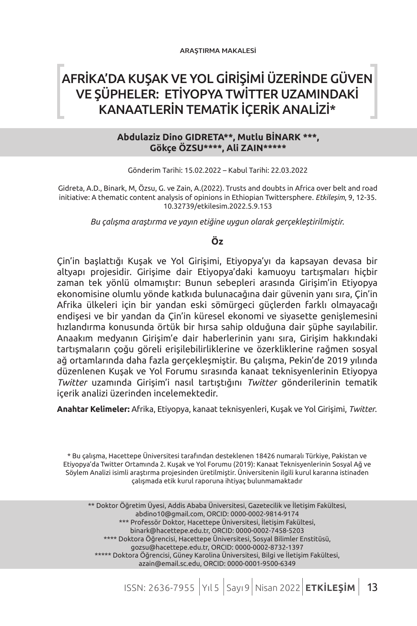# AFRİKA'DA KUŞAK VE YOL GİRİŞİMİ ÜZERİNDE GÜVEN VE ŞÜPHELER: ETİYOPYA TWİTTER UZAMINDAKİ KANAATLERİN TEMATİK İÇERİK ANALİZİ\*

#### **Abdulaziz Dino GIDRETA\*\*, Mutlu BİNARK \*\*\*, Gökçe ÖZSU\*\*\*\*, Ali ZAIN\*\*\*\*\***

Gönderim Tarihi: 15.02.2022 – Kabul Tarihi: 22.03.2022

Gidreta, A.D., Binark, M, Özsu, G. ve Zain, A.(2022). Trusts and doubts in Africa over belt and road initiative: A thematic content analysis of opinions in Ethiopian Twittersphere. *Etkileşim*, 9, 12-35. 10.32739/etkilesim.2022.5.9.153

*Bu çalışma araştırma ve yayın etiğine uygun olarak gerçekleştirilmiştir.*

#### **Öz**

Çin'in başlattığı Kuşak ve Yol Girişimi, Etiyopya'yı da kapsayan devasa bir altyapı projesidir. Girişime dair Etiyopya'daki kamuoyu tartışmaları hiçbir zaman tek yönlü olmamıştır: Bunun sebepleri arasında Girişim'in Etiyopya ekonomisine olumlu yönde katkıda bulunacağına dair güvenin yanı sıra, Çin'in Afrika ülkeleri için bir yandan eski sömürgeci güçlerden farklı olmayacağı endişesi ve bir yandan da Çin'in küresel ekonomi ve siyasette genişlemesini hızlandırma konusunda örtük bir hırsa sahip olduğuna dair şüphe sayılabilir. Anaakım medyanın Girişim'e dair haberlerinin yanı sıra, Girişim hakkındaki tartışmaların çoğu göreli erişilebilirliklerine ve özerkliklerine rağmen sosyal ağ ortamlarında daha fazla gerçekleşmiştir. Bu çalışma, Pekin'de 2019 yılında düzenlenen Kuşak ve Yol Forumu sırasında kanaat teknisyenlerinin Etiyopya *Twitter* uzamında Girişim'i nasıl tartıştığını *Twitter* gönderilerinin tematik içerik analizi üzerinden incelemektedir.

**Anahtar Kelimeler:** Afrika, Etiyopya, kanaat teknisyenleri, Kuşak ve Yol Girişimi, *Twitter*.

\* Bu çalışma, Hacettepe Üniversitesi tarafından desteklenen 18426 numaralı Türkiye, Pakistan ve Etiyopya'da Twitter Ortamında 2. Kuşak ve Yol Forumu (2019): Kanaat Teknisyenlerinin Sosyal Ağ ve Söylem Analizi isimli araştırma projesinden üretilmiştir. Üniversitenin ilgili kurul kararına istinaden çalışmada etik kurul raporuna ihtiyaç bulunmamaktadır

\*\* Doktor Öğretim Üyesi, Addis Ababa Üniversitesi, Gazetecilik ve İletişim Fakültesi, abdino10@gmail.com, ORCID: 0000-0002-9814-9174 \*\*\* Professör Doktor, Hacettepe Üniversitesi, İletişim Fakültesi, binark@hacettepe.edu.tr, ORCID: 0000-0002-7458-5203 \*\*\*\* Doktora Öğrencisi, Hacettepe Üniversitesi, Sosyal Bilimler Enstitüsü, gozsu@hacettepe.edu.tr, ORCID: 0000-0002-8732-1397 \*\*\*\*\* Doktora Öğrencisi, Güney Karolina Üniversitesi, Bilgi ve İletişim Fakültesi, azain@email.sc.edu, ORCID: 0000-0001-9500-6349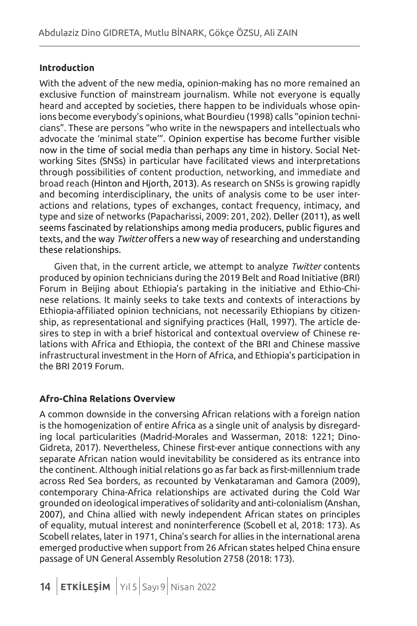## **Introduction**

With the advent of the new media, opinion-making has no more remained an exclusive function of mainstream journalism. While not everyone is equally heard and accepted by societies, there happen to be individuals whose opinions become everybody's opinions, what Bourdieu (1998) calls "opinion technicians". These are persons "who write in the newspapers and intellectuals who advocate the 'minimal state'". Opinion expertise has become further visible now in the time of social media than perhaps any time in history. Social Networking Sites (SNSs) in particular have facilitated views and interpretations through possibilities of content production, networking, and immediate and broad reach (Hinton and Hjorth, 2013). As research on SNSs is growing rapidly and becoming interdisciplinary, the units of analysis come to be user interactions and relations, types of exchanges, contact frequency, intimacy, and type and size of networks (Papacharissi, 2009: 201, 202). Deller (2011), as well seems fascinated by relationships among media producers, public figures and texts, and the way *Twitter* offers a new way of researching and understanding these relationships.

Given that, in the current article, we attempt to analyze *Twitter* contents produced by opinion technicians during the 2019 Belt and Road Initiative (BRI) Forum in Beijing about Ethiopia's partaking in the initiative and Ethio-Chinese relations. It mainly seeks to take texts and contexts of interactions by Ethiopia-affiliated opinion technicians, not necessarily Ethiopians by citizenship, as representational and signifying practices (Hall, 1997). The article desires to step in with a brief historical and contextual overview of Chinese relations with Africa and Ethiopia, the context of the BRI and Chinese massive infrastructural investment in the Horn of Africa, and Ethiopia's participation in the BRI 2019 Forum.

## **Afro-China Relations Overview**

A common downside in the conversing African relations with a foreign nation is the homogenization of entire Africa as a single unit of analysis by disregarding local particularities (Madrid-Morales and Wasserman, 2018: 1221; Dino-Gidreta, 2017). Nevertheless, Chinese first-ever antique connections with any separate African nation would inevitability be considered as its entrance into the continent. Although initial relations go as far back as first-millennium trade across Red Sea borders, as recounted by Venkataraman and Gamora (2009), contemporary China-Africa relationships are activated during the Cold War grounded on ideological imperatives of solidarity and anti-colonialism (Anshan, 2007), and China allied with newly independent African states on principles of equality, mutual interest and noninterference (Scobell et al, 2018: 173). As Scobell relates, later in 1971, China's search for allies in the international arena emerged productive when support from 26 African states helped China ensure passage of UN General Assembly Resolution 2758 (2018: 173).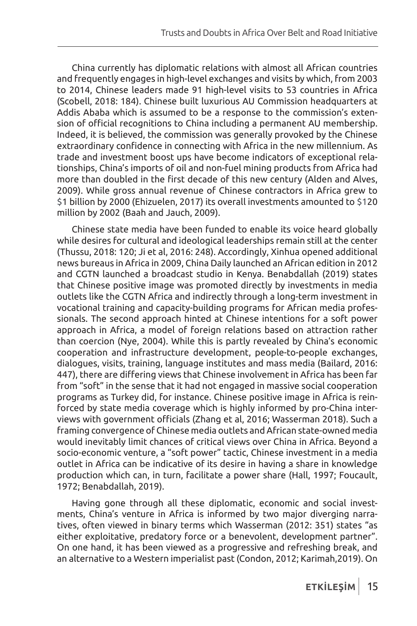China currently has diplomatic relations with almost all African countries and frequently engages in high-level exchanges and visits by which, from 2003 to 2014, Chinese leaders made 91 high-level visits to 53 countries in Africa (Scobell, 2018: 184). Chinese built luxurious AU Commission headquarters at Addis Ababa which is assumed to be a response to the commission's extension of official recognitions to China including a permanent AU membership. Indeed, it is believed, the commission was generally provoked by the Chinese extraordinary confidence in connecting with Africa in the new millennium. As trade and investment boost ups have become indicators of exceptional relationships, China's imports of oil and non-fuel mining products from Africa had more than doubled in the first decade of this new century (Alden and Alves, 2009). While gross annual revenue of Chinese contractors in Africa grew to \$1 billion by 2000 (Ehizuelen, 2017) its overall investments amounted to \$120 million by 2002 (Baah and Jauch, 2009).

Chinese state media have been funded to enable its voice heard globally while desires for cultural and ideological leaderships remain still at the center (Thussu, 2018: 120; Ji et al, 2016: 248). Accordingly, Xinhua opened additional news bureaus in Africa in 2009, China Daily launched an African edition in 2012 and CGTN launched a broadcast studio in Kenya. Benabdallah (2019) states that Chinese positive image was promoted directly by investments in media outlets like the CGTN Africa and indirectly through a long-term investment in vocational training and capacity-building programs for African media professionals. The second approach hinted at Chinese intentions for a soft power approach in Africa, a model of foreign relations based on attraction rather than coercion (Nye, 2004). While this is partly revealed by China's economic cooperation and infrastructure development, people-to-people exchanges, dialogues, visits, training, language institutes and mass media (Bailard, 2016: 447), there are differing views that Chinese involvement in Africa has been far from "soft" in the sense that it had not engaged in massive social cooperation programs as Turkey did, for instance. Chinese positive image in Africa is reinforced by state media coverage which is highly informed by pro-China interviews with government officials (Zhang et al, 2016; Wasserman 2018). Such a framing convergence of Chinese media outlets and African state-owned media would inevitably limit chances of critical views over China in Africa. Beyond a socio-economic venture, a "soft power" tactic, Chinese investment in a media outlet in Africa can be indicative of its desire in having a share in knowledge production which can, in turn, facilitate a power share (Hall, 1997; Foucault, 1972; Benabdallah, 2019).

Having gone through all these diplomatic, economic and social investments, China's venture in Africa is informed by two major diverging narratives, often viewed in binary terms which Wasserman (2012: 351) states "as either exploitative, predatory force or a benevolent, development partner". On one hand, it has been viewed as a progressive and refreshing break, and an alternative to a Western imperialist past (Condon, 2012; Karimah,2019). On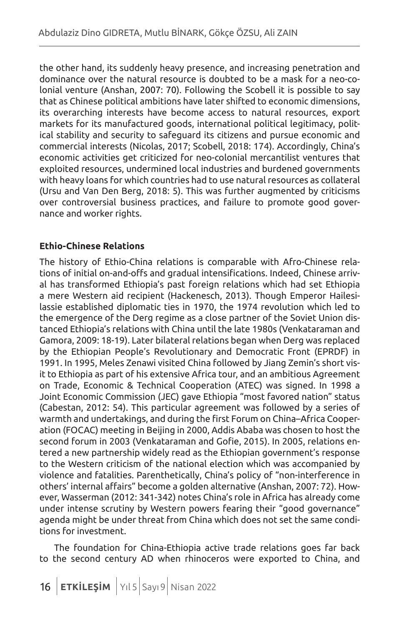the other hand, its suddenly heavy presence, and increasing penetration and dominance over the natural resource is doubted to be a mask for a neo-colonial venture (Anshan, 2007: 70). Following the Scobell it is possible to say that as Chinese political ambitions have later shifted to economic dimensions, its overarching interests have become access to natural resources, export markets for its manufactured goods, international political legitimacy, political stability and security to safeguard its citizens and pursue economic and commercial interests (Nicolas, 2017; Scobell, 2018: 174). Accordingly, China's economic activities get criticized for neo-colonial mercantilist ventures that exploited resources, undermined local industries and burdened governments with heavy loans for which countries had to use natural resources as collateral (Ursu and Van Den Berg, 2018: 5). This was further augmented by criticisms over controversial business practices, and failure to promote good governance and worker rights.

## **Ethio-Chinese Relations**

The history of Ethio-China relations is comparable with Afro-Chinese relations of initial on-and-offs and gradual intensifications. Indeed, Chinese arrival has transformed Ethiopia's past foreign relations which had set Ethiopia a mere Western aid recipient (Hackenesch, 2013). Though Emperor Hailesilassie established diplomatic ties in 1970, the 1974 revolution which led to the emergence of the Derg regime as a close partner of the Soviet Union distanced Ethiopia's relations with China until the late 1980s (Venkataraman and Gamora, 2009: 18-19). Later bilateral relations began when Derg was replaced by the Ethiopian People's Revolutionary and Democratic Front (EPRDF) in 1991. In 1995, Meles Zenawi visited China followed by Jiang Zemin's short visit to Ethiopia as part of his extensive Africa tour, and an ambitious Agreement on Trade, Economic & Technical Cooperation (ATEC) was signed. In 1998 a Joint Economic Commission (JEC) gave Ethiopia "most favored nation" status (Cabestan, 2012: 54). This particular agreement was followed by a series of warmth and undertakings, and during the first Forum on China–Africa Cooperation (FOCAC) meeting in Beijing in 2000, Addis Ababa was chosen to host the second forum in 2003 (Venkataraman and Gofie, 2015). In 2005, relations entered a new partnership widely read as the Ethiopian government's response to the Western criticism of the national election which was accompanied by violence and fatalities. Parenthetically, China's policy of "non-interference in others' internal affairs" become a golden alternative (Anshan, 2007: 72). However, Wasserman (2012: 341-342) notes China's role in Africa has already come under intense scrutiny by Western powers fearing their "good governance" agenda might be under threat from China which does not set the same conditions for investment.

The foundation for China-Ethiopia active trade relations goes far back to the second century AD when rhinoceros were exported to China, and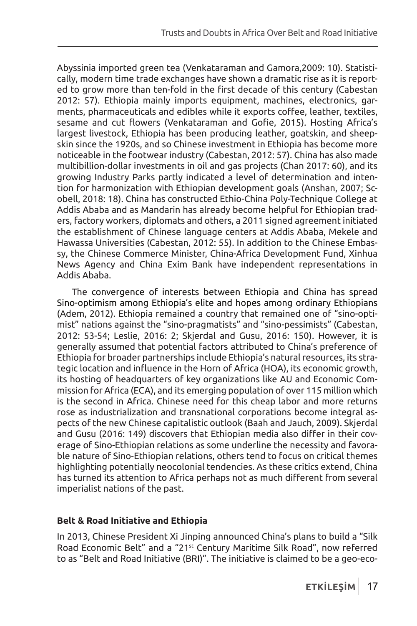Abyssinia imported green tea (Venkataraman and Gamora,2009: 10). Statistically, modern time trade exchanges have shown a dramatic rise as it is reported to grow more than ten-fold in the first decade of this century (Cabestan 2012: 57). Ethiopia mainly imports equipment, machines, electronics, garments, pharmaceuticals and edibles while it exports coffee, leather, textiles, sesame and cut flowers (Venkataraman and Gofie, 2015). Hosting Africa's largest livestock, Ethiopia has been producing leather, goatskin, and sheepskin since the 1920s, and so Chinese investment in Ethiopia has become more noticeable in the footwear industry (Cabestan, 2012: 57). China has also made multibillion-dollar investments in oil and gas projects (Chan 2017: 60), and its growing Industry Parks partly indicated a level of determination and intention for harmonization with Ethiopian development goals (Anshan, 2007; Scobell, 2018: 18). China has constructed Ethio-China Poly-Technique College at Addis Ababa and as Mandarin has already become helpful for Ethiopian traders, factory workers, diplomats and others, a 2011 signed agreement initiated the establishment of Chinese language centers at Addis Ababa, Mekele and Hawassa Universities (Cabestan, 2012: 55). In addition to the Chinese Embassy, the Chinese Commerce Minister, China-Africa Development Fund, Xinhua News Agency and China Exim Bank have independent representations in Addis Ababa.

The convergence of interests between Ethiopia and China has spread Sino-optimism among Ethiopia's elite and hopes among ordinary Ethiopians (Adem, 2012). Ethiopia remained a country that remained one of "sino-optimist" nations against the "sino-pragmatists" and "sino-pessimists" (Cabestan, 2012: 53-54; Leslie, 2016: 2; Skjerdal and Gusu, 2016: 150). However, it is generally assumed that potential factors attributed to China's preference of Ethiopia for broader partnerships include Ethiopia's natural resources, its strategic location and influence in the Horn of Africa (HOA), its economic growth, its hosting of headquarters of key organizations like AU and Economic Commission for Africa (ECA), and its emerging population of over 115 million which is the second in Africa. Chinese need for this cheap labor and more returns rose as industrialization and transnational corporations become integral aspects of the new Chinese capitalistic outlook (Baah and Jauch, 2009). Skjerdal and Gusu (2016: 149) discovers that Ethiopian media also differ in their coverage of Sino-Ethiopian relations as some underline the necessity and favorable nature of Sino-Ethiopian relations, others tend to focus on critical themes highlighting potentially neocolonial tendencies. As these critics extend, China has turned its attention to Africa perhaps not as much different from several imperialist nations of the past.

### **Belt & Road Initiative and Ethiopia**

In 2013, Chinese President Xi Jinping announced China's plans to build a "Silk Road Economic Belt" and a "21st Century Maritime Silk Road", now referred to as "Belt and Road Initiative (BRI)". The initiative is claimed to be a geo-eco-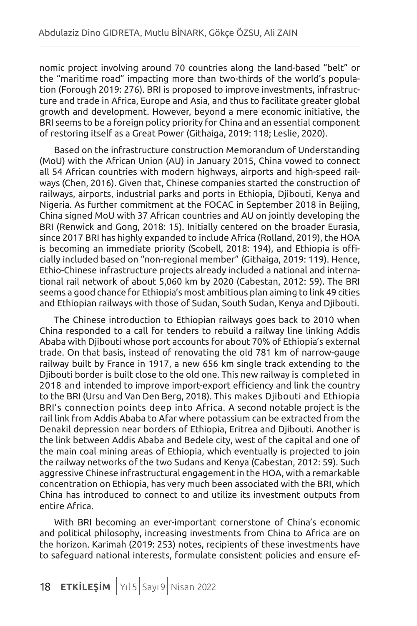nomic project involving around 70 countries along the land-based "belt" or the "maritime road" impacting more than two-thirds of the world's population (Forough 2019: 276). BRI is proposed to improve investments, infrastructure and trade in Africa, Europe and Asia, and thus to facilitate greater global growth and development. However, beyond a mere economic initiative, the BRI seems to be a foreign policy priority for China and an essential component of restoring itself as a Great Power (Githaiga, 2019: 118; Leslie, 2020).

Based on the infrastructure construction Memorandum of Understanding (MoU) with the African Union (AU) in January 2015, China vowed to connect all 54 African countries with modern highways, airports and high-speed railways (Chen, 2016). Given that, Chinese companies started the construction of railways, airports, industrial parks and ports in Ethiopia, Djibouti, Kenya and Nigeria. As further commitment at the FOCAC in September 2018 in Beijing, China signed MoU with 37 African countries and AU on jointly developing the BRI (Renwick and Gong, 2018: 15). Initially centered on the broader Eurasia, since 2017 BRI has highly expanded to include Africa (Rolland, 2019), the HOA is becoming an immediate priority (Scobell, 2018: 194), and Ethiopia is officially included based on "non-regional member" (Githaiga, 2019: 119). Hence, Ethio-Chinese infrastructure projects already included a national and international rail network of about 5,060 km by 2020 (Cabestan, 2012: 59). The BRI seems a good chance for Ethiopia's most ambitious plan aiming to link 49 cities and Ethiopian railways with those of Sudan, South Sudan, Kenya and Djibouti.

The Chinese introduction to Ethiopian railways goes back to 2010 when China responded to a call for tenders to rebuild a railway line linking Addis Ababa with Djibouti whose port accounts for about 70% of Ethiopia's external trade. On that basis, instead of renovating the old 781 km of narrow-gauge railway built by France in 1917, a new 656 km single track extending to the Djibouti border is built close to the old one. This new railway is completed in 2018 and intended to improve import-export efficiency and link the country to the BRI (Ursu and Van Den Berg, 2018). This makes Djibouti and Ethiopia BRI's connection points deep into Africa. A second notable project is the rail link from Addis Ababa to Afar where potassium can be extracted from the Denakil depression near borders of Ethiopia, Eritrea and Djibouti. Another is the link between Addis Ababa and Bedele city, west of the capital and one of the main coal mining areas of Ethiopia, which eventually is projected to join the railway networks of the two Sudans and Kenya (Cabestan, 2012: 59). Such aggressive Chinese infrastructural engagement in the HOA, with a remarkable concentration on Ethiopia, has very much been associated with the BRI, which China has introduced to connect to and utilize its investment outputs from entire Africa.

With BRI becoming an ever-important cornerstone of China's economic and political philosophy, increasing investments from China to Africa are on the horizon. Karimah (2019: 253) notes, recipients of these investments have to safeguard national interests, formulate consistent policies and ensure ef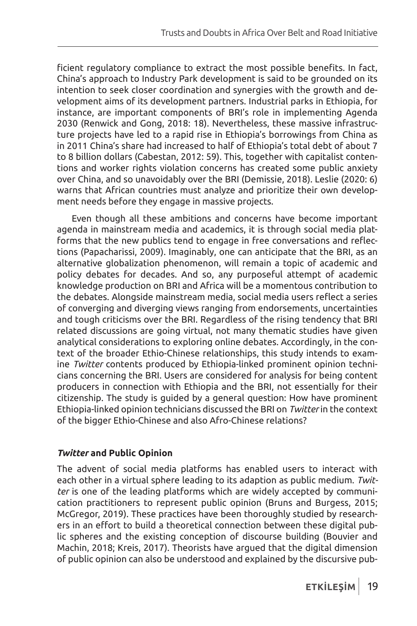ficient regulatory compliance to extract the most possible benefits. In fact, China's approach to Industry Park development is said to be grounded on its intention to seek closer coordination and synergies with the growth and development aims of its development partners. Industrial parks in Ethiopia, for instance, are important components of BRI's role in implementing Agenda 2030 (Renwick and Gong, 2018: 18). Nevertheless, these massive infrastructure projects have led to a rapid rise in Ethiopia's borrowings from China as in 2011 China's share had increased to half of Ethiopia's total debt of about 7 to 8 billion dollars (Cabestan, 2012: 59). This, together with capitalist contentions and worker rights violation concerns has created some public anxiety over China, and so unavoidably over the BRI (Demissie, 2018). Leslie (2020: 6) warns that African countries must analyze and prioritize their own development needs before they engage in massive projects.

Even though all these ambitions and concerns have become important agenda in mainstream media and academics, it is through social media platforms that the new publics tend to engage in free conversations and reflections (Papacharissi, 2009). Imaginably, one can anticipate that the BRI, as an alternative globalization phenomenon, will remain a topic of academic and policy debates for decades. And so, any purposeful attempt of academic knowledge production on BRI and Africa will be a momentous contribution to the debates. Alongside mainstream media, social media users reflect a series of converging and diverging views ranging from endorsements, uncertainties and tough criticisms over the BRI. Regardless of the rising tendency that BRI related discussions are going virtual, not many thematic studies have given analytical considerations to exploring online debates. Accordingly, in the context of the broader Ethio-Chinese relationships, this study intends to examine *Twitter* contents produced by Ethiopia-linked prominent opinion technicians concerning the BRI. Users are considered for analysis for being content producers in connection with Ethiopia and the BRI, not essentially for their citizenship. The study is guided by a general question: How have prominent Ethiopia-linked opinion technicians discussed the BRI on *Twitter* in the context of the bigger Ethio-Chinese and also Afro-Chinese relations?

## *Twitter* **and Public Opinion**

The advent of social media platforms has enabled users to interact with each other in a virtual sphere leading to its adaption as public medium. *Twitter* is one of the leading platforms which are widely accepted by communication practitioners to represent public opinion (Bruns and Burgess, 2015; McGregor, 2019). These practices have been thoroughly studied by researchers in an effort to build a theoretical connection between these digital public spheres and the existing conception of discourse building (Bouvier and Machin, 2018; Kreis, 2017). Theorists have argued that the digital dimension of public opinion can also be understood and explained by the discursive pub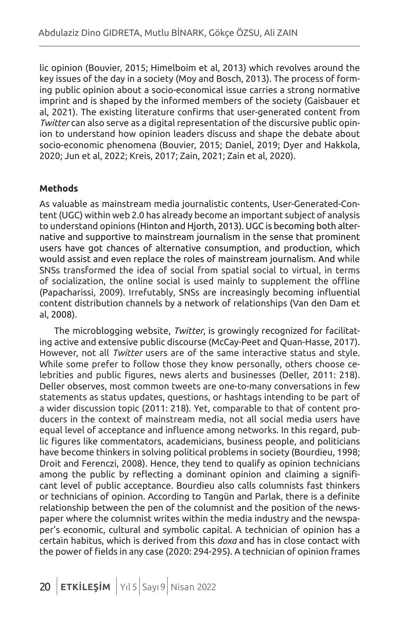lic opinion (Bouvier, 2015; Himelboim et al, 2013) which revolves around the key issues of the day in a society (Moy and Bosch, 2013). The process of forming public opinion about a socio-economical issue carries a strong normative imprint and is shaped by the informed members of the society (Gaisbauer et al, 2021). The existing literature confirms that user-generated content from *Twitter* can also serve as a digital representation of the discursive public opinion to understand how opinion leaders discuss and shape the debate about socio-economic phenomena (Bouvier, 2015; Daniel, 2019; Dyer and Hakkola, 2020; Jun et al, 2022; Kreis, 2017; Zain, 2021; Zain et al, 2020).

## **Methods**

As valuable as mainstream media journalistic contents, User-Generated-Content (UGC) within web 2.0 has already become an important subject of analysis to understand opinions (Hinton and Hjorth, 2013). UGC is becoming both alternative and supportive to mainstream journalism in the sense that prominent users have got chances of alternative consumption, and production, which would assist and even replace the roles of mainstream journalism. And while SNSs transformed the idea of social from spatial social to virtual, in terms of socialization, the online social is used mainly to supplement the offline (Papacharissi, 2009). Irrefutably, SNSs are increasingly becoming influential content distribution channels by a network of relationships (Van den Dam et al, 2008).

The microblogging website, *Twitter*, is growingly recognized for facilitating active and extensive public discourse (McCay-Peet and Quan-Hasse, 2017). However, not all *Twitter* users are of the same interactive status and style. While some prefer to follow those they know personally, others choose celebrities and public figures, news alerts and businesses (Deller, 2011: 218). Deller observes, most common tweets are one-to-many conversations in few statements as status updates, questions, or hashtags intending to be part of a wider discussion topic (2011: 218). Yet, comparable to that of content producers in the context of mainstream media, not all social media users have equal level of acceptance and influence among networks. In this regard, public figures like commentators, academicians, business people, and politicians have become thinkers in solving political problems in society (Bourdieu, 1998; Droit and Ferenczi, 2008). Hence, they tend to qualify as opinion technicians among the public by reflecting a dominant opinion and claiming a significant level of public acceptance. Bourdieu also calls columnists fast thinkers or technicians of opinion. According to Tangün and Parlak, there is a definite relationship between the pen of the columnist and the position of the newspaper where the columnist writes within the media industry and the newspaper's economic, cultural and symbolic capital. A technician of opinion has a certain habitus, which is derived from this *doxa* and has in close contact with the power of fields in any case (2020: 294-295). A technician of opinion frames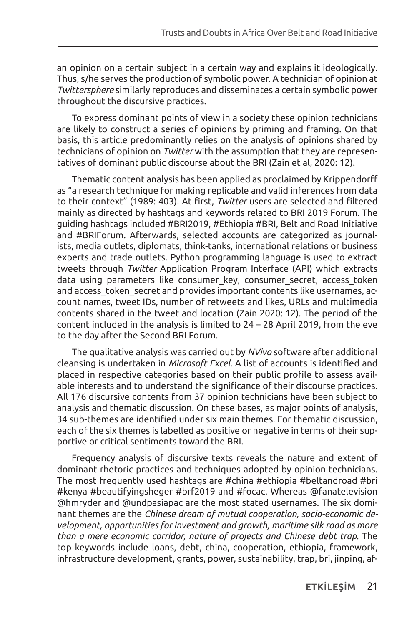an opinion on a certain subject in a certain way and explains it ideologically. Thus, s/he serves the production of symbolic power. A technician of opinion at *Twittersphere* similarly reproduces and disseminates a certain symbolic power throughout the discursive practices.

To express dominant points of view in a society these opinion technicians are likely to construct a series of opinions by priming and framing. On that basis, this article predominantly relies on the analysis of opinions shared by technicians of opinion on *Twitter* with the assumption that they are representatives of dominant public discourse about the BRI (Zain et al, 2020: 12).

Thematic content analysis has been applied as proclaimed by Krippendorff as "a research technique for making replicable and valid inferences from data to their context" (1989: 403). At first, *Twitter* users are selected and filtered mainly as directed by hashtags and keywords related to BRI 2019 Forum. The guiding hashtags included #BRI2019, #Ethiopia #BRI, Belt and Road Initiative and #BRIForum. Afterwards, selected accounts are categorized as journalists, media outlets, diplomats, think-tanks, international relations or business experts and trade outlets. Python programming language is used to extract tweets through *Twitter* Application Program Interface (API) which extracts data using parameters like consumer key, consumer secret, access token and access\_token\_secret and provides important contents like usernames, account names, tweet IDs, number of retweets and likes, URLs and multimedia contents shared in the tweet and location (Zain 2020: 12). The period of the content included in the analysis is limited to 24 – 28 April 2019, from the eve to the day after the Second BRI Forum.

The qualitative analysis was carried out by *NVivo* software after additional cleansing is undertaken in *Microsoft Excel*. A list of accounts is identified and placed in respective categories based on their public profile to assess available interests and to understand the significance of their discourse practices. All 176 discursive contents from 37 opinion technicians have been subject to analysis and thematic discussion. On these bases, as major points of analysis, 34 sub-themes are identified under six main themes. For thematic discussion, each of the six themes is labelled as positive or negative in terms of their supportive or critical sentiments toward the BRI.

Frequency analysis of discursive texts reveals the nature and extent of dominant rhetoric practices and techniques adopted by opinion technicians. The most frequently used hashtags are #china #ethiopia #beltandroad #bri #kenya #beautifyingsheger #brf2019 and #focac. Whereas @fanatelevision @hmryder and @undpasiapac are the most stated usernames. The six dominant themes are the *Chinese dream of mutual cooperation, socio-economic development, opportunities for investment and growth, maritime silk road as more than a mere economic corridor, nature of projects and Chinese debt trap*. The top keywords include loans, debt, china, cooperation, ethiopia, framework, infrastructure development, grants, power, sustainability, trap, bri, jinping, af-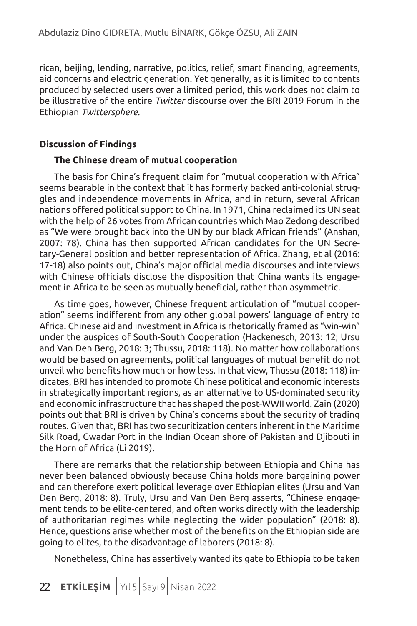rican, beijing, lending, narrative, politics, relief, smart financing, agreements, aid concerns and electric generation. Yet generally, as it is limited to contents produced by selected users over a limited period, this work does not claim to be illustrative of the entire *Twitter* discourse over the BRI 2019 Forum in the Ethiopian *Twittersphere*.

#### **Discussion of Findings**

#### **The Chinese dream of mutual cooperation**

The basis for China's frequent claim for "mutual cooperation with Africa" seems bearable in the context that it has formerly backed anti-colonial struggles and independence movements in Africa, and in return, several African nations offered political support to China. In 1971, China reclaimed its UN seat with the help of 26 votes from African countries which Mao Zedong described as "We were brought back into the UN by our black African friends" (Anshan, 2007: 78). China has then supported African candidates for the UN Secretary-General position and better representation of Africa. Zhang, et al (2016: 17-18) also points out, China's major official media discourses and interviews with Chinese officials disclose the disposition that China wants its engagement in Africa to be seen as mutually beneficial, rather than asymmetric.

As time goes, however, Chinese frequent articulation of "mutual cooperation" seems indifferent from any other global powers' language of entry to Africa. Chinese aid and investment in Africa is rhetorically framed as "win-win" under the auspices of South-South Cooperation (Hackenesch, 2013: 12; Ursu and Van Den Berg, 2018: 3; Thussu, 2018: 118). No matter how collaborations would be based on agreements, political languages of mutual benefit do not unveil who benefits how much or how less. In that view, Thussu (2018: 118) indicates, BRI has intended to promote Chinese political and economic interests in strategically important regions, as an alternative to US-dominated security and economic infrastructure that has shaped the post-WWII world. Zain (2020) points out that BRI is driven by China's concerns about the security of trading routes. Given that, BRI has two securitization centers inherent in the Maritime Silk Road, Gwadar Port in the Indian Ocean shore of Pakistan and Djibouti in the Horn of Africa (Li 2019).

There are remarks that the relationship between Ethiopia and China has never been balanced obviously because China holds more bargaining power and can therefore exert political leverage over Ethiopian elites (Ursu and Van Den Berg, 2018: 8). Truly, Ursu and Van Den Berg asserts, "Chinese engagement tends to be elite-centered, and often works directly with the leadership of authoritarian regimes while neglecting the wider population" (2018: 8). Hence, questions arise whether most of the benefits on the Ethiopian side are going to elites, to the disadvantage of laborers (2018: 8).

Nonetheless, China has assertively wanted its gate to Ethiopia to be taken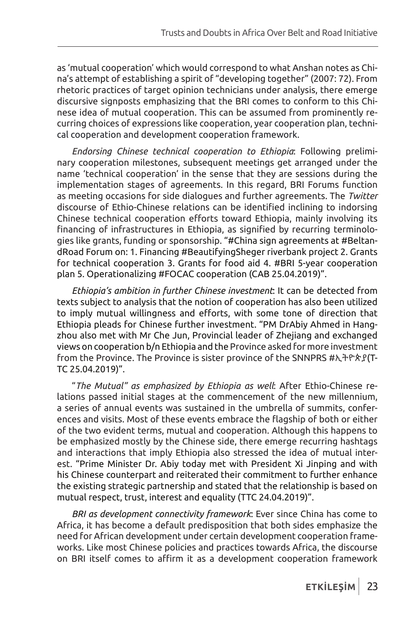as 'mutual cooperation' which would correspond to what Anshan notes as China's attempt of establishing a spirit of "developing together" (2007: 72). From rhetoric practices of target opinion technicians under analysis, there emerge discursive signposts emphasizing that the BRI comes to conform to this Chinese idea of mutual cooperation. This can be assumed from prominently recurring choices of expressions like cooperation, year cooperation plan, technical cooperation and development cooperation framework.

*Endorsing Chinese technical cooperation to Ethiopia*: Following preliminary cooperation milestones, subsequent meetings get arranged under the name 'technical cooperation' in the sense that they are sessions during the implementation stages of agreements. In this regard, BRI Forums function as meeting occasions for side dialogues and further agreements. The *Twitter* discourse of Ethio-Chinese relations can be identified inclining to indorsing Chinese technical cooperation efforts toward Ethiopia, mainly involving its financing of infrastructures in Ethiopia, as signified by recurring terminologies like grants, funding or sponsorship. "#China sign agreements at #BeltandRoad Forum on: 1. Financing #BeautifyingSheger riverbank project 2. Grants for technical cooperation 3. Grants for food aid 4. #BRI 5-year cooperation plan 5. Operationalizing #FOCAC cooperation (CAB 25.04.2019)".

*Ethiopia's ambition in further Chinese investment*: It can be detected from texts subject to analysis that the notion of cooperation has also been utilized to imply mutual willingness and efforts, with some tone of direction that Ethiopia pleads for Chinese further investment. "PM DrAbiy Ahmed in Hangzhou also met with Mr Che Jun, Provincial leader of Zhejiang and exchanged views on cooperation b/n Ethiopia and the Province asked for more investment from the Province. The Province is sister province of the SNNPRS #ኢትዮጵያ(T-TC 25.04.2019)".

"*The Mutual" as emphasized by Ethiopia as well*: After Ethio-Chinese relations passed initial stages at the commencement of the new millennium, a series of annual events was sustained in the umbrella of summits, conferences and visits. Most of these events embrace the flagship of both or either of the two evident terms, mutual and cooperation. Although this happens to be emphasized mostly by the Chinese side, there emerge recurring hashtags and interactions that imply Ethiopia also stressed the idea of mutual interest. "Prime Minister Dr. Abiy today met with President Xi Jinping and with his Chinese counterpart and reiterated their commitment to further enhance the existing strategic partnership and stated that the relationship is based on mutual respect, trust, interest and equality (TTC 24.04.2019)".

*BRI as development connectivity framework*: Ever since China has come to Africa, it has become a default predisposition that both sides emphasize the need for African development under certain development cooperation frameworks. Like most Chinese policies and practices towards Africa, the discourse on BRI itself comes to affirm it as a development cooperation framework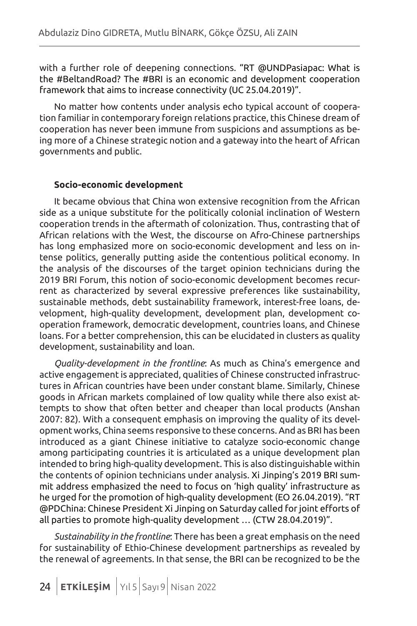with a further role of deepening connections. "RT @UNDPasiapac: What is the #BeltandRoad? The #BRI is an economic and development cooperation framework that aims to increase connectivity (UC 25.04.2019)".

No matter how contents under analysis echo typical account of cooperation familiar in contemporary foreign relations practice, this Chinese dream of cooperation has never been immune from suspicions and assumptions as being more of a Chinese strategic notion and a gateway into the heart of African governments and public.

#### **Socio-economic development**

It became obvious that China won extensive recognition from the African side as a unique substitute for the politically colonial inclination of Western cooperation trends in the aftermath of colonization. Thus, contrasting that of African relations with the West, the discourse on Afro-Chinese partnerships has long emphasized more on socio-economic development and less on intense politics, generally putting aside the contentious political economy. In the analysis of the discourses of the target opinion technicians during the 2019 BRI Forum, this notion of socio-economic development becomes recurrent as characterized by several expressive preferences like sustainability, sustainable methods, debt sustainability framework, interest-free loans, development, high-quality development, development plan, development cooperation framework, democratic development, countries loans, and Chinese loans. For a better comprehension, this can be elucidated in clusters as quality development, sustainability and loan.

*Quality-development in the frontline*: As much as China's emergence and active engagement is appreciated, qualities of Chinese constructed infrastructures in African countries have been under constant blame. Similarly, Chinese goods in African markets complained of low quality while there also exist attempts to show that often better and cheaper than local products (Anshan 2007: 82). With a consequent emphasis on improving the quality of its development works, China seems responsive to these concerns. And as BRI has been introduced as a giant Chinese initiative to catalyze socio-economic change among participating countries it is articulated as a unique development plan intended to bring high-quality development. This is also distinguishable within the contents of opinion technicians under analysis. Xi Jinping's 2019 BRI summit address emphasized the need to focus on 'high quality' infrastructure as he urged for the promotion of high-quality development (EO 26.04.2019). "RT @PDChina: Chinese President Xi Jinping on Saturday called for joint efforts of all parties to promote high-quality development … (CTW 28.04.2019)".

*Sustainability in the frontline*: There has been a great emphasis on the need for sustainability of Ethio-Chinese development partnerships as revealed by the renewal of agreements. In that sense, the BRI can be recognized to be the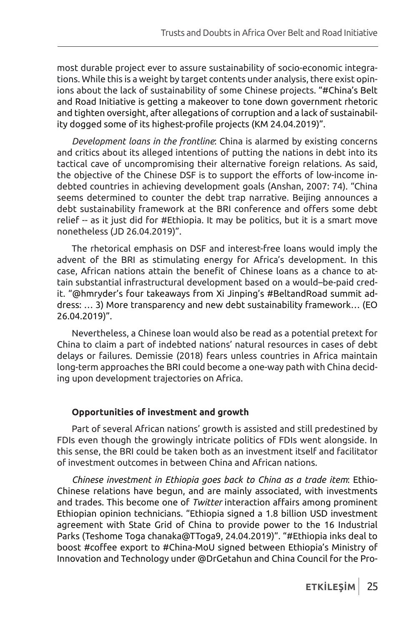most durable project ever to assure sustainability of socio-economic integrations. While this is a weight by target contents under analysis, there exist opinions about the lack of sustainability of some Chinese projects. "#China's Belt and Road Initiative is getting a makeover to tone down government rhetoric and tighten oversight, after allegations of corruption and a lack of sustainability dogged some of its highest-profile projects (KM 24.04.2019)".

*Development loans in the frontline*: China is alarmed by existing concerns and critics about its alleged intentions of putting the nations in debt into its tactical cave of uncompromising their alternative foreign relations. As said, the objective of the Chinese DSF is to support the efforts of low-income indebted countries in achieving development goals (Anshan, 2007: 74). "China seems determined to counter the debt trap narrative. Beijing announces a debt sustainability framework at the BRI conference and offers some debt relief -- as it just did for #Ethiopia. It may be politics, but it is a smart move nonetheless (JD 26.04.2019)".

The rhetorical emphasis on DSF and interest-free loans would imply the advent of the BRI as stimulating energy for Africa's development. In this case, African nations attain the benefit of Chinese loans as a chance to attain substantial infrastructural development based on a would–be-paid credit. "@hmryder's four takeaways from Xi Jinping's #BeltandRoad summit address: … 3) More transparency and new debt sustainability framework… (EO 26.04.2019)".

Nevertheless, a Chinese loan would also be read as a potential pretext for China to claim a part of indebted nations' natural resources in cases of debt delays or failures. Demissie (2018) fears unless countries in Africa maintain long-term approaches the BRI could become a one-way path with China deciding upon development trajectories on Africa.

### **Opportunities of investment and growth**

Part of several African nations' growth is assisted and still predestined by FDIs even though the growingly intricate politics of FDIs went alongside. In this sense, the BRI could be taken both as an investment itself and facilitator of investment outcomes in between China and African nations.

*Chinese investment in Ethiopia goes back to China as a trade item*: Ethio-Chinese relations have begun, and are mainly associated, with investments and trades. This become one of *Twitter* interaction affairs among prominent Ethiopian opinion technicians. "Ethiopia signed a 1.8 billion USD investment agreement with State Grid of China to provide power to the 16 Industrial Parks (Teshome Toga chanaka@TToga9, 24.04.2019)". "#Ethiopia inks deal to boost #coffee export to #China-MoU signed between Ethiopia's Ministry of Innovation and Technology under @DrGetahun and China Council for the Pro-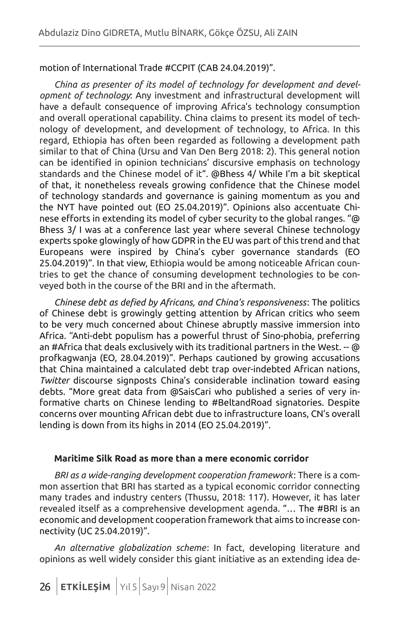#### motion of International Trade #CCPIT (CAB 24.04.2019)".

*China as presenter of its model of technology for development and development of technology*: Any investment and infrastructural development will have a default consequence of improving Africa's technology consumption and overall operational capability. China claims to present its model of technology of development, and development of technology, to Africa. In this regard, Ethiopia has often been regarded as following a development path similar to that of China (Ursu and Van Den Berg 2018: 2). This general notion can be identified in opinion technicians' discursive emphasis on technology standards and the Chinese model of it". @Bhess 4/ While I'm a bit skeptical of that, it nonetheless reveals growing confidence that the Chinese model of technology standards and governance is gaining momentum as you and the NYT have pointed out (EO 25.04.2019)". Opinions also accentuate Chinese efforts in extending its model of cyber security to the global ranges. "@ Bhess 3/ I was at a conference last year where several Chinese technology experts spoke glowingly of how GDPR in the EU was part of this trend and that Europeans were inspired by China's cyber governance standards (EO 25.04.2019)". In that view, Ethiopia would be among noticeable African countries to get the chance of consuming development technologies to be conveyed both in the course of the BRI and in the aftermath.

*Chinese debt as defied by Africans, and China's responsiveness*: The politics of Chinese debt is growingly getting attention by African critics who seem to be very much concerned about Chinese abruptly massive immersion into Africa. "Anti-debt populism has a powerful thrust of Sino-phobia, preferring an #Africa that deals exclusively with its traditional partners in the West. -- @ profkagwanja (EO, 28.04.2019)". Perhaps cautioned by growing accusations that China maintained a calculated debt trap over-indebted African nations, *Twitter* discourse signposts China's considerable inclination toward easing debts. "More great data from @SaisCari who published a series of very informative charts on Chinese lending to #BeltandRoad signatories. Despite concerns over mounting African debt due to infrastructure loans, CN's overall lending is down from its highs in 2014 (EO 25.04.2019)".

#### **Maritime Silk Road as more than a mere economic corridor**

*BRI as a wide-ranging development cooperation framework*: There is a common assertion that BRI has started as a typical economic corridor connecting many trades and industry centers (Thussu, 2018: 117). However, it has later revealed itself as a comprehensive development agenda. "… The #BRI is an economic and development cooperation framework that aims to increase connectivity (UC 25.04.2019)".

*An alternative globalization scheme*: In fact, developing literature and opinions as well widely consider this giant initiative as an extending idea de-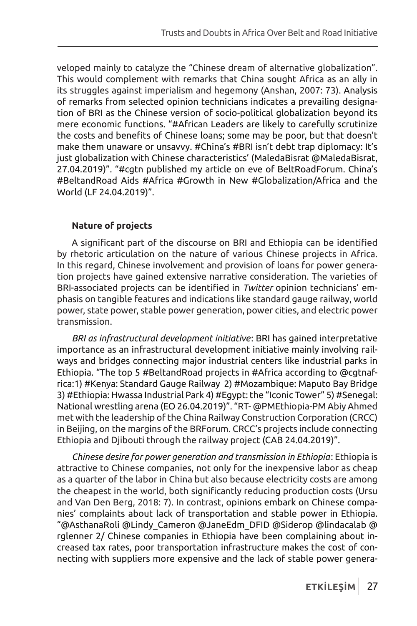veloped mainly to catalyze the "Chinese dream of alternative globalization". This would complement with remarks that China sought Africa as an ally in its struggles against imperialism and hegemony (Anshan, 2007: 73). Analysis of remarks from selected opinion technicians indicates a prevailing designation of BRI as the Chinese version of socio-political globalization beyond its mere economic functions. "#African Leaders are likely to carefully scrutinize the costs and benefits of Chinese loans; some may be poor, but that doesn't make them unaware or unsavvy. #China's #BRI isn't debt trap diplomacy: It's just globalization with Chinese characteristics' (MaledaBisrat @MaledaBisrat, 27.04.2019)". "#cgtn published my article on eve of BeltRoadForum. China's #BeltandRoad Aids #Africa #Growth in New #Globalization/Africa and the World (LF 24.04.2019)".

## **Nature of projects**

A significant part of the discourse on BRI and Ethiopia can be identified by rhetoric articulation on the nature of various Chinese projects in Africa. In this regard, Chinese involvement and provision of loans for power generation projects have gained extensive narrative consideration. The varieties of BRI-associated projects can be identified in *Twitter* opinion technicians' emphasis on tangible features and indications like standard gauge railway, world power, state power, stable power generation, power cities, and electric power transmission.

*BRI as infrastructural development initiative*: BRI has gained interpretative importance as an infrastructural development initiative mainly involving railways and bridges connecting major industrial centers like industrial parks in Ethiopia. "The top 5 #BeltandRoad projects in #Africa according to @cgtnafrica:1) #Kenya: Standard Gauge Railway 2) #Mozambique: Maputo Bay Bridge 3) #Ethiopia: Hwassa Industrial Park 4) #Egypt: the "Iconic Tower" 5) #Senegal: National wrestling arena (EO 26.04.2019)". "RT- @PMEthiopia-PM Abiy Ahmed met with the leadership of the China Railway Construction Corporation (CRCC) in Beijing, on the margins of the BRForum. CRCC's projects include connecting Ethiopia and Djibouti through the railway project (CAB 24.04.2019)".

*Chinese desire for power generation and transmission in Ethiopia*: Ethiopia is attractive to Chinese companies, not only for the inexpensive labor as cheap as a quarter of the labor in China but also because electricity costs are among the cheapest in the world, both significantly reducing production costs (Ursu and Van Den Berg, 2018: 7). In contrast, opinions embark on Chinese companies' complaints about lack of transportation and stable power in Ethiopia. "@AsthanaRoli @Lindy\_Cameron @JaneEdm\_DFID @Siderop @lindacalab @ rglenner 2/ Chinese companies in Ethiopia have been complaining about increased tax rates, poor transportation infrastructure makes the cost of connecting with suppliers more expensive and the lack of stable power genera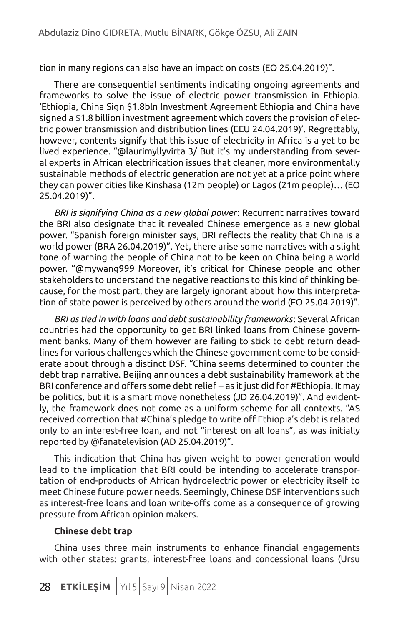tion in many regions can also have an impact on costs (EO 25.04.2019)".

There are consequential sentiments indicating ongoing agreements and frameworks to solve the issue of electric power transmission in Ethiopia. 'Ethiopia, China Sign \$1.8bln Investment Agreement Ethiopia and China have signed a \$1.8 billion investment agreement which covers the provision of electric power transmission and distribution lines (EEU 24.04.2019)'. Regrettably, however, contents signify that this issue of electricity in Africa is a yet to be lived experience. "@laurimyllyvirta 3/ But it's my understanding from several experts in African electrification issues that cleaner, more environmentally sustainable methods of electric generation are not yet at a price point where they can power cities like Kinshasa (12m people) or Lagos (21m people)… (EO 25.04.2019)".

*BRI is signifying China as a new global power*: Recurrent narratives toward the BRI also designate that it revealed Chinese emergence as a new global power. "Spanish foreign minister says, BRI reflects the reality that China is a world power (BRA 26.04.2019)". Yet, there arise some narratives with a slight tone of warning the people of China not to be keen on China being a world power. "@mywang999 Moreover, it's critical for Chinese people and other stakeholders to understand the negative reactions to this kind of thinking because, for the most part, they are largely ignorant about how this interpretation of state power is perceived by others around the world (EO 25.04.2019)".

*BRI as tied in with loans and debt sustainability frameworks*: Several African countries had the opportunity to get BRI linked loans from Chinese government banks. Many of them however are failing to stick to debt return deadlines for various challenges which the Chinese government come to be considerate about through a distinct DSF. "China seems determined to counter the debt trap narrative. Beijing announces a debt sustainability framework at the BRI conference and offers some debt relief -- as it just did for #Ethiopia. It may be politics, but it is a smart move nonetheless (JD 26.04.2019)". And evidently, the framework does not come as a uniform scheme for all contexts. "AS received correction that #China's pledge to write off Ethiopia's debt is related only to an interest-free loan, and not "interest on all loans", as was initially reported by @fanatelevision (AD 25.04.2019)".

This indication that China has given weight to power generation would lead to the implication that BRI could be intending to accelerate transportation of end-products of African hydroelectric power or electricity itself to meet Chinese future power needs. Seemingly, Chinese DSF interventions such as interest-free loans and loan write-offs come as a consequence of growing pressure from African opinion makers.

#### **Chinese debt trap**

China uses three main instruments to enhance financial engagements with other states: grants, interest-free loans and concessional loans (Ursu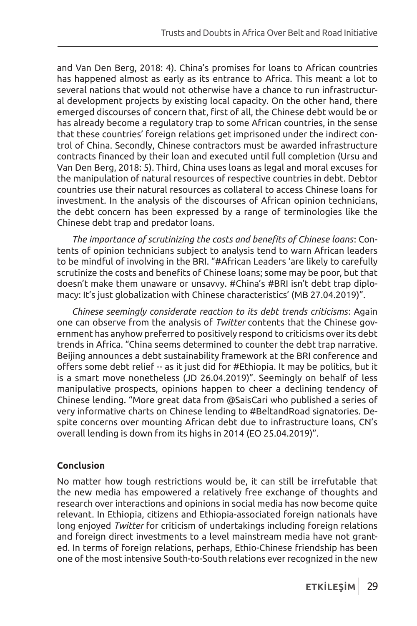and Van Den Berg, 2018: 4). China's promises for loans to African countries has happened almost as early as its entrance to Africa. This meant a lot to several nations that would not otherwise have a chance to run infrastructural development projects by existing local capacity. On the other hand, there emerged discourses of concern that, first of all, the Chinese debt would be or has already become a regulatory trap to some African countries, in the sense that these countries' foreign relations get imprisoned under the indirect control of China. Secondly, Chinese contractors must be awarded infrastructure contracts financed by their loan and executed until full completion (Ursu and Van Den Berg, 2018: 5). Third, China uses loans as legal and moral excuses for the manipulation of natural resources of respective countries in debt. Debtor countries use their natural resources as collateral to access Chinese loans for investment. In the analysis of the discourses of African opinion technicians, the debt concern has been expressed by a range of terminologies like the Chinese debt trap and predator loans.

*The importance of scrutinizing the costs and benefits of Chinese loans*: Contents of opinion technicians subject to analysis tend to warn African leaders to be mindful of involving in the BRI. "#African Leaders 'are likely to carefully scrutinize the costs and benefits of Chinese loans; some may be poor, but that doesn't make them unaware or unsavvy. #China's #BRI isn't debt trap diplomacy: It's just globalization with Chinese characteristics' (MB 27.04.2019)".

*Chinese seemingly considerate reaction to its debt trends criticisms*: Again one can observe from the analysis of *Twitter* contents that the Chinese government has anyhow preferred to positively respond to criticisms over its debt trends in Africa. "China seems determined to counter the debt trap narrative. Beijing announces a debt sustainability framework at the BRI conference and offers some debt relief -- as it just did for #Ethiopia. It may be politics, but it is a smart move nonetheless (JD 26.04.2019)". Seemingly on behalf of less manipulative prospects, opinions happen to cheer a declining tendency of Chinese lending. "More great data from @SaisCari who published a series of very informative charts on Chinese lending to #BeltandRoad signatories. Despite concerns over mounting African debt due to infrastructure loans, CN's overall lending is down from its highs in 2014 (EO 25.04.2019)".

### **Conclusion**

No matter how tough restrictions would be, it can still be irrefutable that the new media has empowered a relatively free exchange of thoughts and research over interactions and opinions in social media has now become quite relevant. In Ethiopia, citizens and Ethiopia-associated foreign nationals have long enjoyed *Twitter* for criticism of undertakings including foreign relations and foreign direct investments to a level mainstream media have not granted. In terms of foreign relations, perhaps, Ethio-Chinese friendship has been one of the most intensive South-to-South relations ever recognized in the new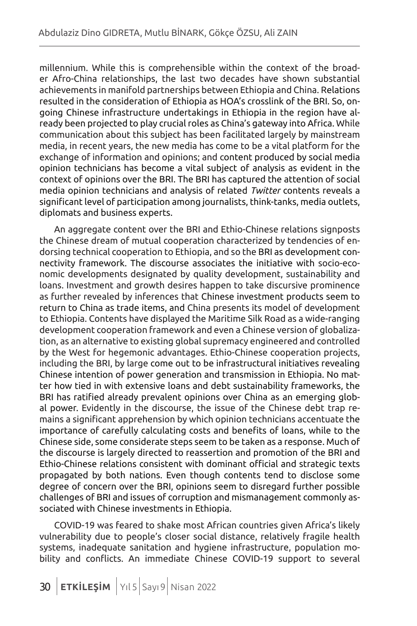millennium. While this is comprehensible within the context of the broader Afro-China relationships, the last two decades have shown substantial achievements in manifold partnerships between Ethiopia and China. Relations resulted in the consideration of Ethiopia as HOA's crosslink of the BRI. So, ongoing Chinese infrastructure undertakings in Ethiopia in the region have already been projected to play crucial roles as China's gateway into Africa. While communication about this subject has been facilitated largely by mainstream media, in recent years, the new media has come to be a vital platform for the exchange of information and opinions; and content produced by social media opinion technicians has become a vital subject of analysis as evident in the context of opinions over the BRI. The BRI has captured the attention of social media opinion technicians and analysis of related *Twitter* contents reveals a significant level of participation among journalists, think-tanks, media outlets, diplomats and business experts.

An aggregate content over the BRI and Ethio-Chinese relations signposts the Chinese dream of mutual cooperation characterized by tendencies of endorsing technical cooperation to Ethiopia, and so the BRI as development connectivity framework. The discourse associates the initiative with socio-economic developments designated by quality development, sustainability and loans. Investment and growth desires happen to take discursive prominence as further revealed by inferences that Chinese investment products seem to return to China as trade items, and China presents its model of development to Ethiopia. Contents have displayed the Maritime Silk Road as a wide-ranging development cooperation framework and even a Chinese version of globalization, as an alternative to existing global supremacy engineered and controlled by the West for hegemonic advantages. Ethio-Chinese cooperation projects, including the BRI, by large come out to be infrastructural initiatives revealing Chinese intention of power generation and transmission in Ethiopia. No matter how tied in with extensive loans and debt sustainability frameworks, the BRI has ratified already prevalent opinions over China as an emerging global power. Evidently in the discourse, the issue of the Chinese debt trap remains a significant apprehension by which opinion technicians accentuate the importance of carefully calculating costs and benefits of loans, while to the Chinese side, some considerate steps seem to be taken as a response. Much of the discourse is largely directed to reassertion and promotion of the BRI and Ethio-Chinese relations consistent with dominant official and strategic texts propagated by both nations. Even though contents tend to disclose some degree of concern over the BRI, opinions seem to disregard further possible challenges of BRI and issues of corruption and mismanagement commonly associated with Chinese investments in Ethiopia.

COVID-19 was feared to shake most African countries given Africa's likely vulnerability due to people's closer social distance, relatively fragile health systems, inadequate sanitation and hygiene infrastructure, population mobility and conflicts. An immediate Chinese COVID-19 support to several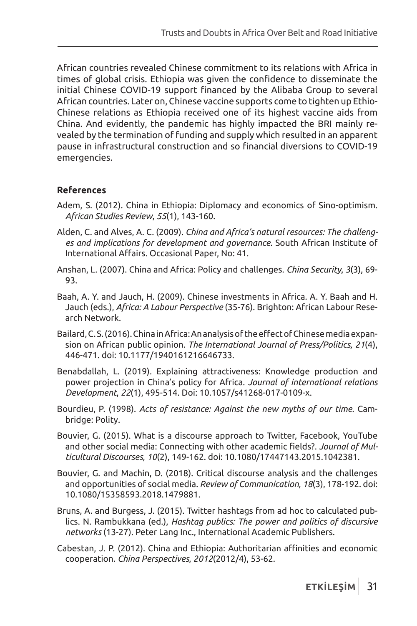African countries revealed Chinese commitment to its relations with Africa in times of global crisis. Ethiopia was given the confidence to disseminate the initial Chinese COVID-19 support financed by the Alibaba Group to several African countries. Later on, Chinese vaccine supports come to tighten up Ethio-Chinese relations as Ethiopia received one of its highest vaccine aids from China. And evidently, the pandemic has highly impacted the BRI mainly revealed by the termination of funding and supply which resulted in an apparent pause in infrastructural construction and so financial diversions to COVID-19 emergencies.

### **References**

- Adem, S. (2012). China in Ethiopia: Diplomacy and economics of Sino-optimism. *African Studies Review*, *55*(1), 143-160.
- Alden, C. and Alves, A. C. (2009). *China and Africa's natural resources: The challenges and implications for development and governance*. South African Institute of International Affairs. Occasional Paper, No: 41.
- Anshan, L. (2007). China and Africa: Policy and challenges. *China Security*, *3*(3), 69- 93.
- Baah, A. Y. and Jauch, H. (2009). Chinese investments in Africa. A. Y. Baah and H. Jauch (eds.), *Africa: A Labour Perspective* (35-76). Brighton: African Labour Research Network.
- Bailard, C. S. (2016). China in Africa: An analysis of the effect of Chinese media expansion on African public opinion. *The International Journal of Press/Politics, 21*(4), 446-471. doi: 10.1177/1940161216646733.
- Benabdallah, L. (2019). Explaining attractiveness: Knowledge production and power projection in China's policy for Africa. *Journal of international relations Development*, *22*(1), 495-514. Doi: 10.1057/s41268-017-0109-x.
- Bourdieu, P. (1998). *Acts of resistance: Against the new myths of our time*. Cambridge: Polity.
- Bouvier, G. (2015). What is a discourse approach to Twitter, Facebook, YouTube and other social media: Connecting with other academic fields?. *Journal of Multicultural Discourses*, *10*(2), 149-162. doi: 10.1080/17447143.2015.1042381.
- Bouvier, G. and Machin, D. (2018). Critical discourse analysis and the challenges and opportunities of social media. *Review of Communication*, *18*(3), 178-192. doi: 10.1080/15358593.2018.1479881.
- Bruns, A. and Burgess, J. (2015). Twitter hashtags from ad hoc to calculated publics. N. Rambukkana (ed.), *Hashtag publics: The power and politics of discursive networks* (13-27). Peter Lang Inc., International Academic Publishers.
- Cabestan, J. P. (2012). China and Ethiopia: Authoritarian affinities and economic cooperation. *China Perspectives*, *2012*(2012/4), 53-62.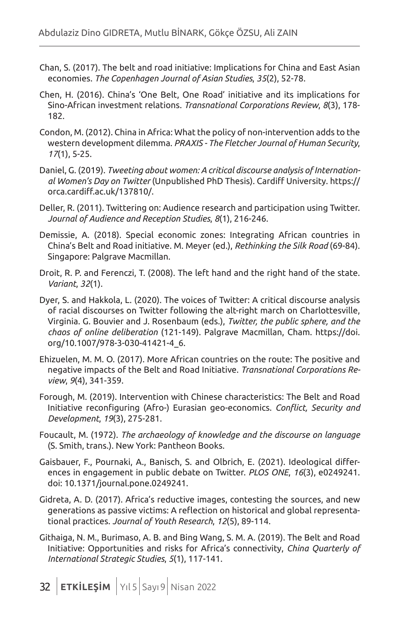- Chan, S. (2017). The belt and road initiative: Implications for China and East Asian economies. *The Copenhagen Journal of Asian Studies*, *35*(2), 52-78.
- Chen, H. (2016). China's 'One Belt, One Road' initiative and its implications for Sino-African investment relations. *Transnational Corporations Review*, *8*(3), 178- 182.
- Condon, M. (2012). China in Africa: What the policy of non-intervention adds to the western development dilemma. *PRAXIS - The Fletcher Journal of Human Security*, *17*(1), 5-25.
- Daniel, G. (2019). *Tweeting about women: A critical discourse analysis of International Women's Day on Twitter* (Unpublished PhD Thesis). Cardiff University. https:// orca.cardiff.ac.uk/137810/.
- Deller, R. (2011). Twittering on: Audience research and participation using Twitter. *Journal of Audience and Reception Studies*, *8*(1), 216-246.
- Demissie, A. (2018). Special economic zones: Integrating African countries in China's Belt and Road initiative. M. Meyer (ed.), *Rethinking the Silk Road* (69-84). Singapore: Palgrave Macmillan.
- Droit, R. P. and Ferenczi, T. (2008). The left hand and the right hand of the state. *Variant*, *32*(1).
- Dyer, S. and Hakkola, L. (2020). The voices of Twitter: A critical discourse analysis of racial discourses on Twitter following the alt-right march on Charlottesville, Virginia. G. Bouvier and J. Rosenbaum (eds.), *Twitter, the public sphere, and the chaos of online deliberation* (121-149). Palgrave Macmillan, Cham. https://doi. org/10.1007/978-3-030-41421-4\_6.
- Ehizuelen, M. M. O. (2017). More African countries on the route: The positive and negative impacts of the Belt and Road Initiative. *Transnational Corporations Review*, *9*(4), 341-359.
- Forough, M. (2019). Intervention with Chinese characteristics: The Belt and Road Initiative reconfiguring (Afro-) Eurasian geo-economics. *Conflict, Security and Development*, *19*(3), 275-281.
- Foucault, M. (1972). *The archaeology of knowledge and the discourse on language*  (S. Smith, trans.). New York: Pantheon Books.
- Gaisbauer, F., Pournaki, A., Banisch, S. and Olbrich, E. (2021). Ideological differences in engagement in public debate on Twitter. *PLOS ONE*, *16*(3), e0249241. doi: 10.1371/journal.pone.0249241.
- Gidreta, A. D. (2017). Africa's reductive images, contesting the sources, and new generations as passive victims: A reflection on historical and global representational practices. *Journal of Youth Research*, *12*(5), 89-114.
- Githaiga, N. M., Burimaso, A. B. and Bing Wang, S. M. A. (2019). The Belt and Road Initiative: Opportunities and risks for Africa's connectivity, *China Quarterly of International Strategic Studies*, *5*(1), 117-141.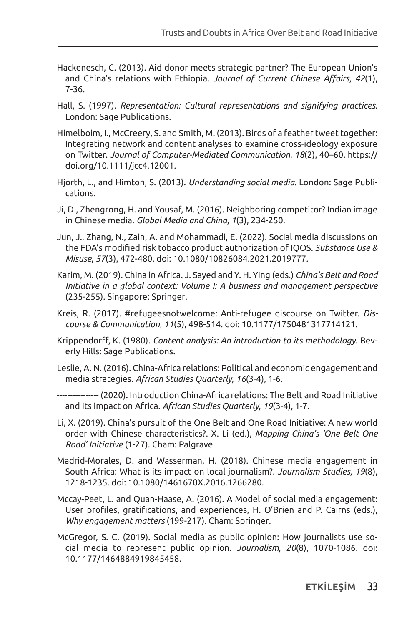- Hackenesch, C. (2013). Aid donor meets strategic partner? The European Union's and China's relations with Ethiopia. *Journal of Current Chinese Affairs*, *42*(1), 7-36.
- Hall, S. (1997). *Representation: Cultural representations and signifying practices*. London: Sage Publications.
- Himelboim, I., McCreery, S. and Smith, M. (2013). Birds of a feather tweet together: Integrating network and content analyses to examine cross-ideology exposure on Twitter. *Journal of Computer-Mediated Communication*, *18*(2), 40–60. https:// doi.org/10.1111/jcc4.12001.
- Hjorth, L., and Himton, S. (2013). *Understanding social media*. London: Sage Publications.
- Ji, D., Zhengrong, H. and Yousaf, M. (2016). Neighboring competitor? Indian image in Chinese media. *Global Media and China*, *1*(3), 234-250.
- Jun, J., Zhang, N., Zain, A. and Mohammadi, E. (2022). Social media discussions on the FDA's modified risk tobacco product authorization of IQOS. *Substance Use & Misuse*, *57*(3), 472-480. doi: 10.1080/10826084.2021.2019777.
- Karim, M. (2019). China in Africa. J. Sayed and Y. H. Ying (eds.) *China's Belt and Road Initiative in a global context: Volume I: A business and management perspective* (235-255). Singapore: Springer.
- Kreis, R. (2017). #refugeesnotwelcome: Anti-refugee discourse on Twitter. *Discourse & Communication*, *11*(5), 498-514. doi: 10.1177/1750481317714121.
- Krippendorff, K. (1980). *Content analysis: An introduction to its methodology*. Beverly Hills: Sage Publications.
- Leslie, A. N. (2016). China-Africa relations: Political and economic engagement and media strategies. *African Studies Quarterly*, *16*(3-4), 1-6.
- ----- (2020). Introduction China-Africa relations: The Belt and Road Initiative and its impact on Africa. *African Studies Quarterly*, *19*(3-4), 1-7.
- Li, X. (2019). China's pursuit of the One Belt and One Road Initiative: A new world order with Chinese characteristics?. X. Li (ed.), *Mapping China's 'One Belt One Road' Initiative* (1-27). Cham: Palgrave.
- Madrid-Morales, D. and Wasserman, H. (2018). Chinese media engagement in South Africa: What is its impact on local journalism?. *Journalism Studies*, *19*(8), 1218-1235. doi: 10.1080/1461670X.2016.1266280.
- Mccay-Peet, L. and Quan-Haase, A. (2016). A Model of social media engagement: User profiles, gratifications, and experiences, H. O'Brien and P. Cairns (eds.), *Why engagement matters* (199-217). Cham: Springer.
- McGregor, S. C. (2019). Social media as public opinion: How journalists use social media to represent public opinion. *Journalism*, *20*(8), 1070-1086. doi: 10.1177/1464884919845458.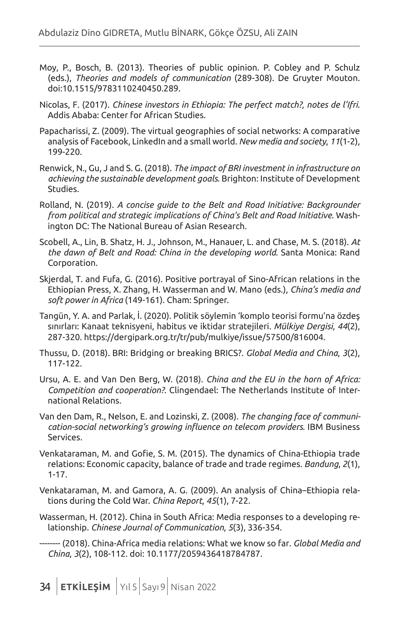- Moy, P., Bosch, B. (2013). Theories of public opinion. P. Cobley and P. Schulz (eds.), *Theories and models of communication* (289-308). De Gruyter Mouton. doi:10.1515/9783110240450.289.
- Nicolas, F. (2017). *Chinese investors in Ethiopia: The perfect match?, notes de l'Ifri*. Addis Ababa: Center for African Studies.
- Papacharissi, Z. (2009). The virtual geographies of social networks: A comparative analysis of Facebook, LinkedIn and a small world. *New media and society*, *11*(1-2), 199-220.
- Renwick, N., Gu, J and S. G. (2018). *The impact of BRI investment in infrastructure on achieving the sustainable development goals*. Brighton: Institute of Development Studies.
- Rolland, N. (2019). *A concise guide to the Belt and Road Initiative: Backgrounder from political and strategic implications of China's Belt and Road Initiative*. Washington DC: The National Bureau of Asian Research.
- Scobell, A., Lin, B. Shatz, H. J., Johnson, M., Hanauer, L. and Chase, M. S. (2018). *At the dawn of Belt and Road: China in the developing world*. Santa Monica: Rand Corporation.
- Skjerdal, T. and Fufa, G. (2016). Positive portrayal of Sino-African relations in the Ethiopian Press, X. Zhang, H. Wasserman and W. Mano (eds.), *China's media and soft power in Africa* (149-161). Cham: Springer.
- Tangün, Y. A. and Parlak, İ. (2020). Politik söylemin 'komplo teorisi formu'na özdeş sınırları: Kanaat teknisyeni, habitus ve iktidar stratejileri. *Mülkiye Dergisi*, *44*(2), 287-320. https://dergipark.org.tr/tr/pub/mulkiye/issue/57500/816004.
- Thussu, D. (2018). BRI: Bridging or breaking BRICS?. *Global Media and China*, *3*(2), 117-122.
- Ursu, A. E. and Van Den Berg, W. (2018). *China and the EU in the horn of Africa: Competition and cooperation?*. Clingendael: The Netherlands Institute of International Relations.
- Van den Dam, R., Nelson, E. and Lozinski, Z. (2008). *The changing face of communication-social networking's growing influence on telecom providers*. IBM Business Services.
- Venkataraman, M. and Gofie, S. M. (2015). The dynamics of China-Ethiopia trade relations: Economic capacity, balance of trade and trade regimes. *Bandung*, *2*(1), 1-17.
- Venkataraman, M. and Gamora, A. G. (2009). An analysis of China–Ethiopia relations during the Cold War. *China Report*, *45*(1), 7-22.
- Wasserman, H. (2012). China in South Africa: Media responses to a developing relationship. *Chinese Journal of Communication*, *5*(3), 336-354.

-------- (2018). China-Africa media relations: What we know so far. *Global Media and China*, *3*(2), 108-112. doi: 10.1177/2059436418784787.